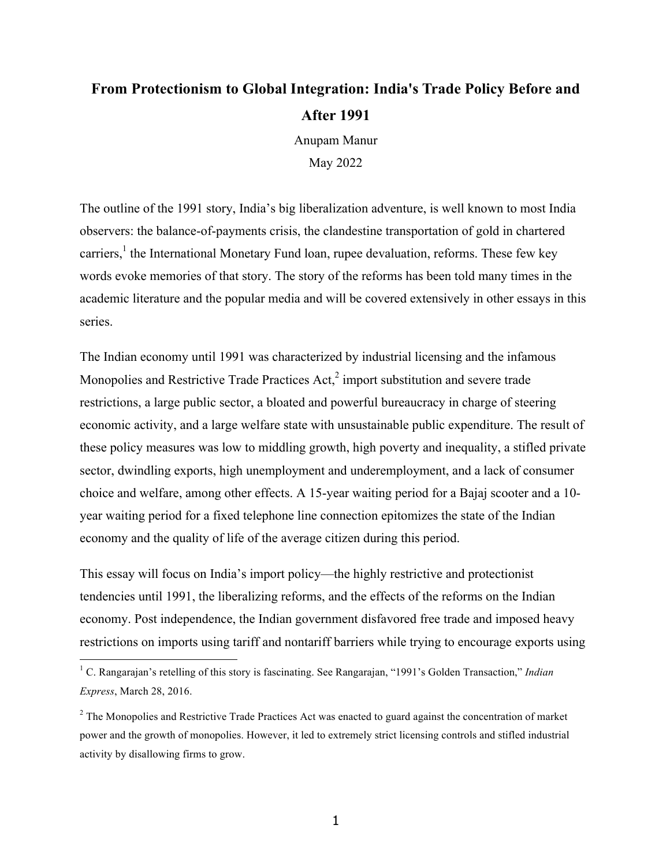# **From Protectionism to Global Integration: India's Trade Policy Before and After 1991**

Anupam Manur May 2022

The outline of the 1991 story, India's big liberalization adventure, is well known to most India observers: the balance-of-payments crisis, the clandestine transportation of gold in chartered carriers,<sup>1</sup> the International Monetary Fund loan, rupee devaluation, reforms. These few key words evoke memories of that story. The story of the reforms has been told many times in the academic literature and the popular media and will be covered extensively in other essays in this series.

The Indian economy until 1991 was characterized by industrial licensing and the infamous Monopolies and Restrictive Trade Practices  $Act<sub>l</sub><sup>2</sup>$  import substitution and severe trade restrictions, a large public sector, a bloated and powerful bureaucracy in charge of steering economic activity, and a large welfare state with unsustainable public expenditure. The result of these policy measures was low to middling growth, high poverty and inequality, a stifled private sector, dwindling exports, high unemployment and underemployment, and a lack of consumer choice and welfare, among other effects. A 15-year waiting period for a Bajaj scooter and a 10 year waiting period for a fixed telephone line connection epitomizes the state of the Indian economy and the quality of life of the average citizen during this period.

This essay will focus on India's import policy—the highly restrictive and protectionist tendencies until 1991, the liberalizing reforms, and the effects of the reforms on the Indian economy. Post independence, the Indian government disfavored free trade and imposed heavy restrictions on imports using tariff and nontariff barriers while trying to encourage exports using

 <sup>1</sup> C. Rangarajan's retelling of this story is fascinating. See Rangarajan, "1991's Golden Transaction," *Indian Express*, March 28, 2016.

<sup>&</sup>lt;sup>2</sup> The Monopolies and Restrictive Trade Practices Act was enacted to guard against the concentration of market power and the growth of monopolies. However, it led to extremely strict licensing controls and stifled industrial activity by disallowing firms to grow.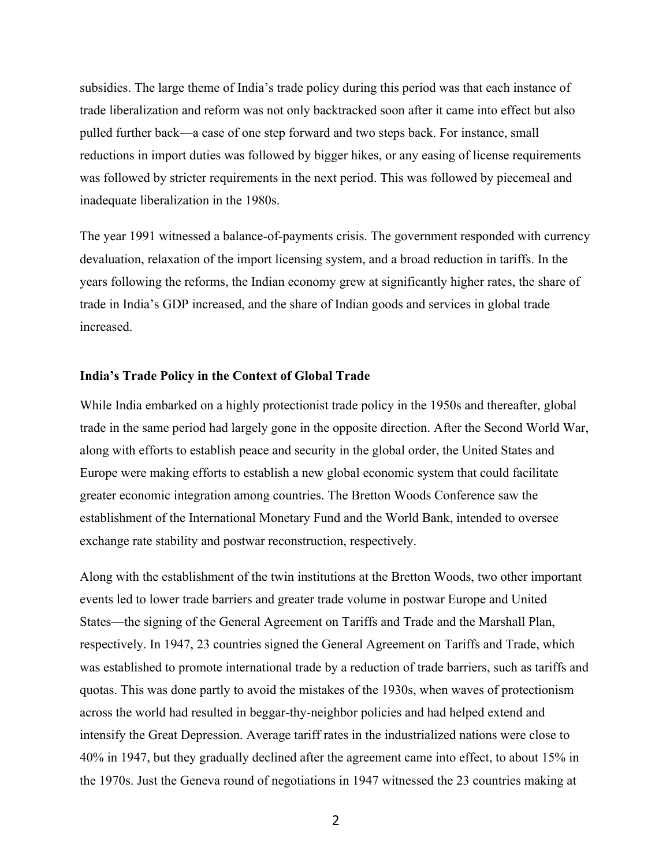subsidies. The large theme of India's trade policy during this period was that each instance of trade liberalization and reform was not only backtracked soon after it came into effect but also pulled further back—a case of one step forward and two steps back. For instance, small reductions in import duties was followed by bigger hikes, or any easing of license requirements was followed by stricter requirements in the next period. This was followed by piecemeal and inadequate liberalization in the 1980s.

The year 1991 witnessed a balance-of-payments crisis. The government responded with currency devaluation, relaxation of the import licensing system, and a broad reduction in tariffs. In the years following the reforms, the Indian economy grew at significantly higher rates, the share of trade in India's GDP increased, and the share of Indian goods and services in global trade increased.

#### **India's Trade Policy in the Context of Global Trade**

While India embarked on a highly protectionist trade policy in the 1950s and thereafter, global trade in the same period had largely gone in the opposite direction. After the Second World War, along with efforts to establish peace and security in the global order, the United States and Europe were making efforts to establish a new global economic system that could facilitate greater economic integration among countries. The Bretton Woods Conference saw the establishment of the International Monetary Fund and the World Bank, intended to oversee exchange rate stability and postwar reconstruction, respectively.

Along with the establishment of the twin institutions at the Bretton Woods, two other important events led to lower trade barriers and greater trade volume in postwar Europe and United States—the signing of the General Agreement on Tariffs and Trade and the Marshall Plan, respectively. In 1947, 23 countries signed the General Agreement on Tariffs and Trade, which was established to promote international trade by a reduction of trade barriers, such as tariffs and quotas. This was done partly to avoid the mistakes of the 1930s, when waves of protectionism across the world had resulted in beggar-thy-neighbor policies and had helped extend and intensify the Great Depression. Average tariff rates in the industrialized nations were close to 40% in 1947, but they gradually declined after the agreement came into effect, to about 15% in the 1970s. Just the Geneva round of negotiations in 1947 witnessed the 23 countries making at

2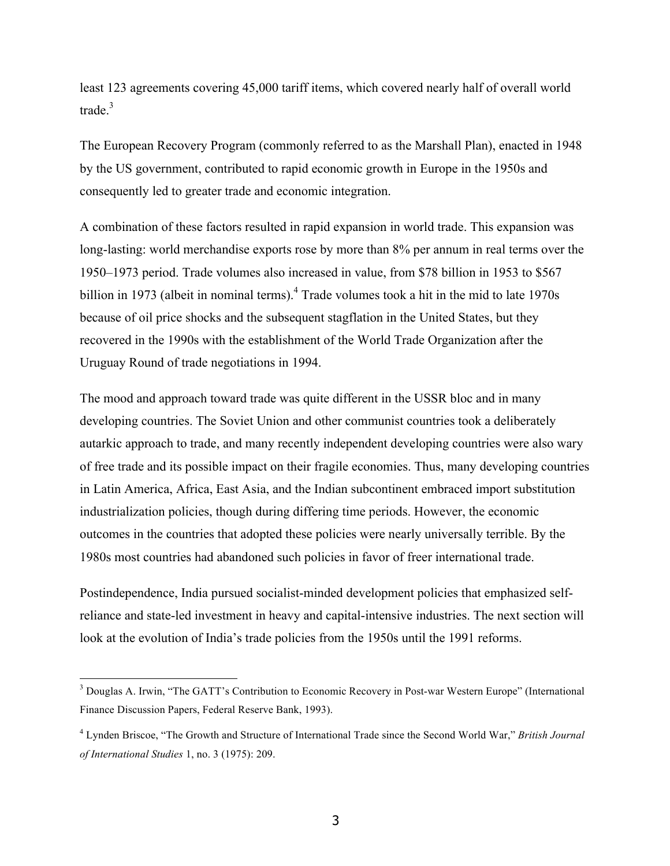least 123 agreements covering 45,000 tariff items, which covered nearly half of overall world trade.<sup>3</sup>

The European Recovery Program (commonly referred to as the Marshall Plan), enacted in 1948 by the US government, contributed to rapid economic growth in Europe in the 1950s and consequently led to greater trade and economic integration.

A combination of these factors resulted in rapid expansion in world trade. This expansion was long-lasting: world merchandise exports rose by more than 8% per annum in real terms over the 1950–1973 period. Trade volumes also increased in value, from \$78 billion in 1953 to \$567 billion in 1973 (albeit in nominal terms).<sup>4</sup> Trade volumes took a hit in the mid to late 1970s because of oil price shocks and the subsequent stagflation in the United States, but they recovered in the 1990s with the establishment of the World Trade Organization after the Uruguay Round of trade negotiations in 1994.

The mood and approach toward trade was quite different in the USSR bloc and in many developing countries. The Soviet Union and other communist countries took a deliberately autarkic approach to trade, and many recently independent developing countries were also wary of free trade and its possible impact on their fragile economies. Thus, many developing countries in Latin America, Africa, East Asia, and the Indian subcontinent embraced import substitution industrialization policies, though during differing time periods. However, the economic outcomes in the countries that adopted these policies were nearly universally terrible. By the 1980s most countries had abandoned such policies in favor of freer international trade.

Postindependence, India pursued socialist-minded development policies that emphasized selfreliance and state-led investment in heavy and capital-intensive industries. The next section will look at the evolution of India's trade policies from the 1950s until the 1991 reforms.

<sup>&</sup>lt;sup>3</sup> Douglas A. Irwin, "The GATT's Contribution to Economic Recovery in Post-war Western Europe" (International Finance Discussion Papers, Federal Reserve Bank, 1993).

<sup>4</sup> Lynden Briscoe, "The Growth and Structure of International Trade since the Second World War," *British Journal of International Studies* 1, no. 3 (1975): 209.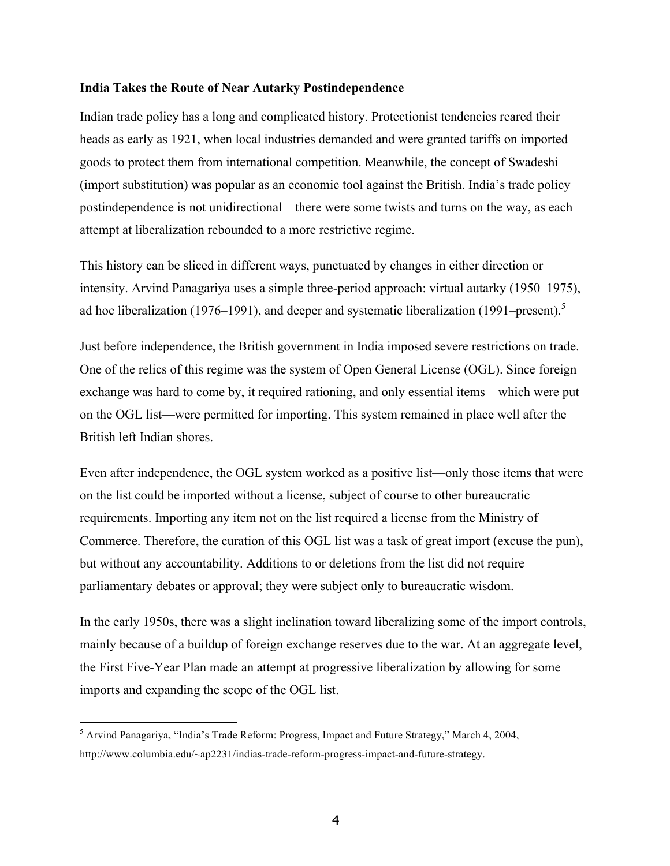#### **India Takes the Route of Near Autarky Postindependence**

Indian trade policy has a long and complicated history. Protectionist tendencies reared their heads as early as 1921, when local industries demanded and were granted tariffs on imported goods to protect them from international competition. Meanwhile, the concept of Swadeshi (import substitution) was popular as an economic tool against the British. India's trade policy postindependence is not unidirectional—there were some twists and turns on the way, as each attempt at liberalization rebounded to a more restrictive regime.

This history can be sliced in different ways, punctuated by changes in either direction or intensity. Arvind Panagariya uses a simple three-period approach: virtual autarky (1950–1975), ad hoc liberalization (1976–1991), and deeper and systematic liberalization (1991–present).<sup>5</sup>

Just before independence, the British government in India imposed severe restrictions on trade. One of the relics of this regime was the system of Open General License (OGL). Since foreign exchange was hard to come by, it required rationing, and only essential items—which were put on the OGL list—were permitted for importing. This system remained in place well after the British left Indian shores.

Even after independence, the OGL system worked as a positive list—only those items that were on the list could be imported without a license, subject of course to other bureaucratic requirements. Importing any item not on the list required a license from the Ministry of Commerce. Therefore, the curation of this OGL list was a task of great import (excuse the pun), but without any accountability. Additions to or deletions from the list did not require parliamentary debates or approval; they were subject only to bureaucratic wisdom.

In the early 1950s, there was a slight inclination toward liberalizing some of the import controls, mainly because of a buildup of foreign exchange reserves due to the war. At an aggregate level, the First Five-Year Plan made an attempt at progressive liberalization by allowing for some imports and expanding the scope of the OGL list.

 <sup>5</sup> Arvind Panagariya, "India's Trade Reform: Progress, Impact and Future Strategy," March 4, 2004, http://www.columbia.edu/~ap2231/indias-trade-reform-progress-impact-and-future-strategy.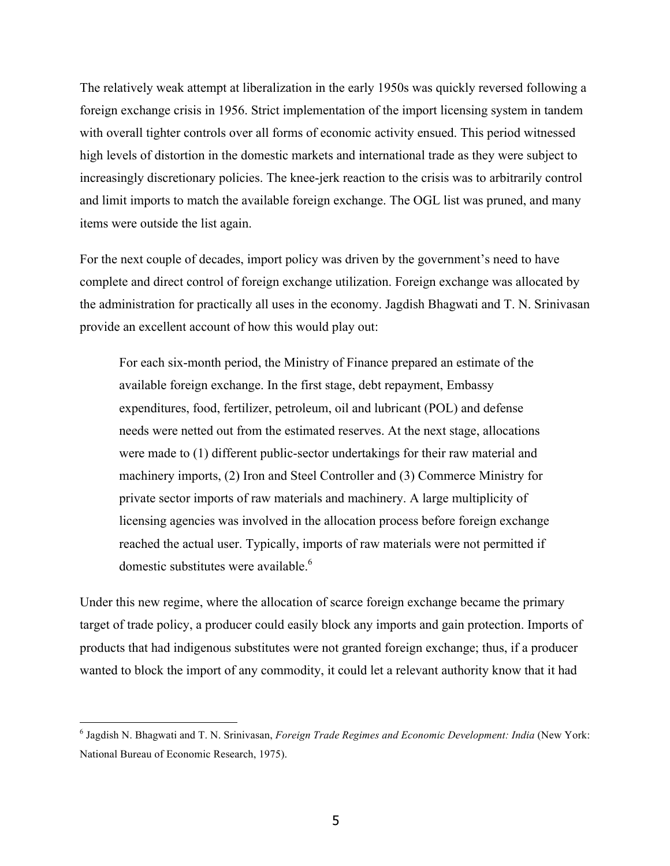The relatively weak attempt at liberalization in the early 1950s was quickly reversed following a foreign exchange crisis in 1956. Strict implementation of the import licensing system in tandem with overall tighter controls over all forms of economic activity ensued. This period witnessed high levels of distortion in the domestic markets and international trade as they were subject to increasingly discretionary policies. The knee-jerk reaction to the crisis was to arbitrarily control and limit imports to match the available foreign exchange. The OGL list was pruned, and many items were outside the list again.

For the next couple of decades, import policy was driven by the government's need to have complete and direct control of foreign exchange utilization. Foreign exchange was allocated by the administration for practically all uses in the economy. Jagdish Bhagwati and T. N. Srinivasan provide an excellent account of how this would play out:

For each six-month period, the Ministry of Finance prepared an estimate of the available foreign exchange. In the first stage, debt repayment, Embassy expenditures, food, fertilizer, petroleum, oil and lubricant (POL) and defense needs were netted out from the estimated reserves. At the next stage, allocations were made to (1) different public-sector undertakings for their raw material and machinery imports, (2) Iron and Steel Controller and (3) Commerce Ministry for private sector imports of raw materials and machinery. A large multiplicity of licensing agencies was involved in the allocation process before foreign exchange reached the actual user. Typically, imports of raw materials were not permitted if domestic substitutes were available.<sup>6</sup>

Under this new regime, where the allocation of scarce foreign exchange became the primary target of trade policy, a producer could easily block any imports and gain protection. Imports of products that had indigenous substitutes were not granted foreign exchange; thus, if a producer wanted to block the import of any commodity, it could let a relevant authority know that it had

 <sup>6</sup> Jagdish N. Bhagwati and T. N. Srinivasan, *Foreign Trade Regimes and Economic Development: India* (New York: National Bureau of Economic Research, 1975).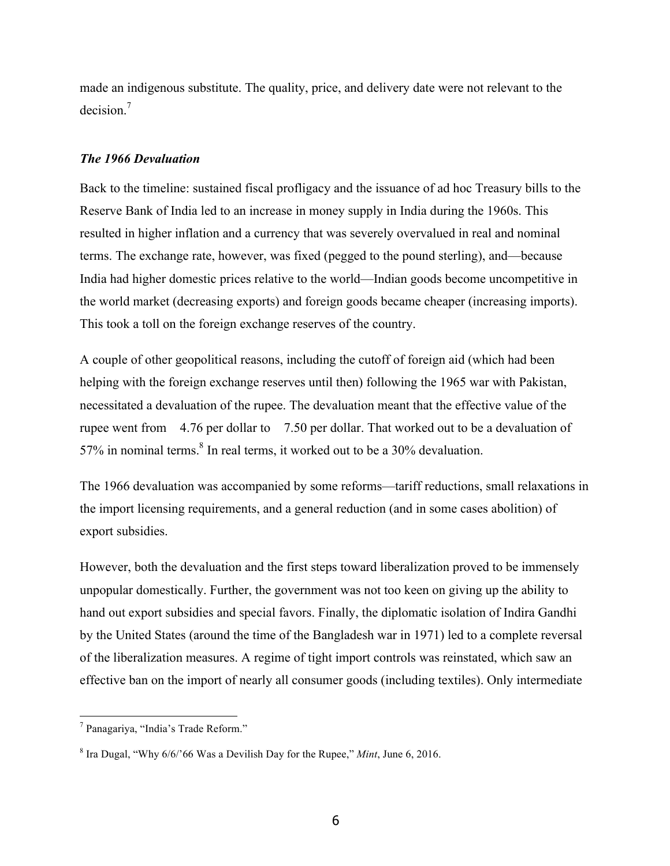made an indigenous substitute. The quality, price, and delivery date were not relevant to the decision.7

## *The 1966 Devaluation*

Back to the timeline: sustained fiscal profligacy and the issuance of ad hoc Treasury bills to the Reserve Bank of India led to an increase in money supply in India during the 1960s. This resulted in higher inflation and a currency that was severely overvalued in real and nominal terms. The exchange rate, however, was fixed (pegged to the pound sterling), and—because India had higher domestic prices relative to the world—Indian goods become uncompetitive in the world market (decreasing exports) and foreign goods became cheaper (increasing imports). This took a toll on the foreign exchange reserves of the country.

A couple of other geopolitical reasons, including the cutoff of foreign aid (which had been helping with the foreign exchange reserves until then) following the 1965 war with Pakistan, necessitated a devaluation of the rupee. The devaluation meant that the effective value of the rupee went from 4.76 per dollar to 7.50 per dollar. That worked out to be a devaluation of  $57\%$  in nominal terms. $8 \text{ In real terms}$ , it worked out to be a 30% devaluation.

The 1966 devaluation was accompanied by some reforms—tariff reductions, small relaxations in the import licensing requirements, and a general reduction (and in some cases abolition) of export subsidies.

However, both the devaluation and the first steps toward liberalization proved to be immensely unpopular domestically. Further, the government was not too keen on giving up the ability to hand out export subsidies and special favors. Finally, the diplomatic isolation of Indira Gandhi by the United States (around the time of the Bangladesh war in 1971) led to a complete reversal of the liberalization measures. A regime of tight import controls was reinstated, which saw an effective ban on the import of nearly all consumer goods (including textiles). Only intermediate

 <sup>7</sup> Panagariya, "India's Trade Reform."

<sup>8</sup> Ira Dugal, "Why 6/6/'66 Was a Devilish Day for the Rupee," *Mint*, June 6, 2016.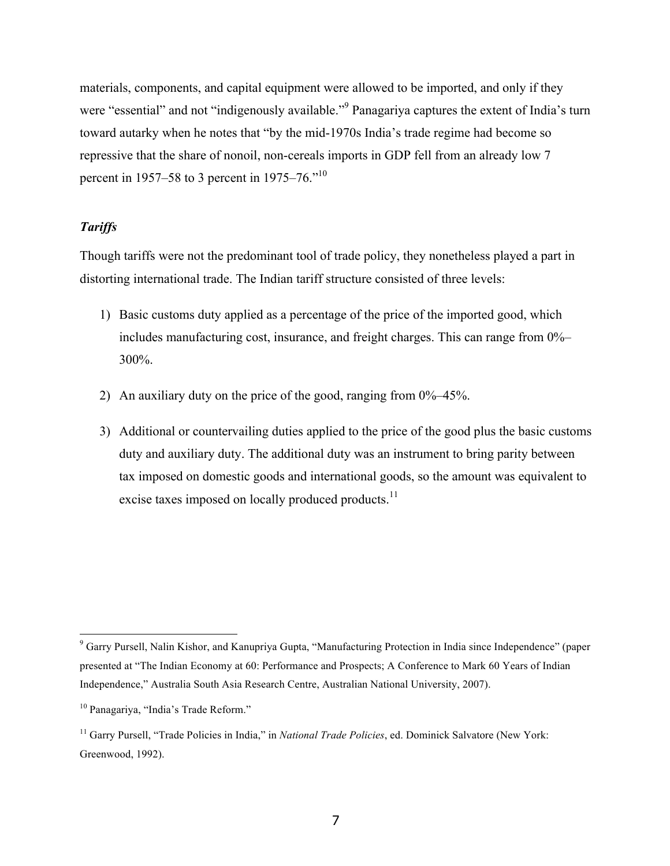materials, components, and capital equipment were allowed to be imported, and only if they were "essential" and not "indigenously available."<sup>9</sup> Panagariya captures the extent of India's turn toward autarky when he notes that "by the mid-1970s India's trade regime had become so repressive that the share of nonoil, non-cereals imports in GDP fell from an already low 7 percent in 1957–58 to 3 percent in 1975–76."<sup>10</sup>

## *Tariffs*

Though tariffs were not the predominant tool of trade policy, they nonetheless played a part in distorting international trade. The Indian tariff structure consisted of three levels:

- 1) Basic customs duty applied as a percentage of the price of the imported good, which includes manufacturing cost, insurance, and freight charges. This can range from 0%– 300%.
- 2) An auxiliary duty on the price of the good, ranging from 0%–45%.
- 3) Additional or countervailing duties applied to the price of the good plus the basic customs duty and auxiliary duty. The additional duty was an instrument to bring parity between tax imposed on domestic goods and international goods, so the amount was equivalent to excise taxes imposed on locally produced products.<sup>11</sup>

 <sup>9</sup> Garry Pursell, Nalin Kishor, and Kanupriya Gupta, "Manufacturing Protection in India since Independence" (paper presented at "The Indian Economy at 60: Performance and Prospects; A Conference to Mark 60 Years of Indian Independence," Australia South Asia Research Centre, Australian National University, 2007).

<sup>10</sup> Panagariya, "India's Trade Reform."

<sup>&</sup>lt;sup>11</sup> Garry Pursell, "Trade Policies in India," in *National Trade Policies*, ed. Dominick Salvatore (New York: Greenwood, 1992).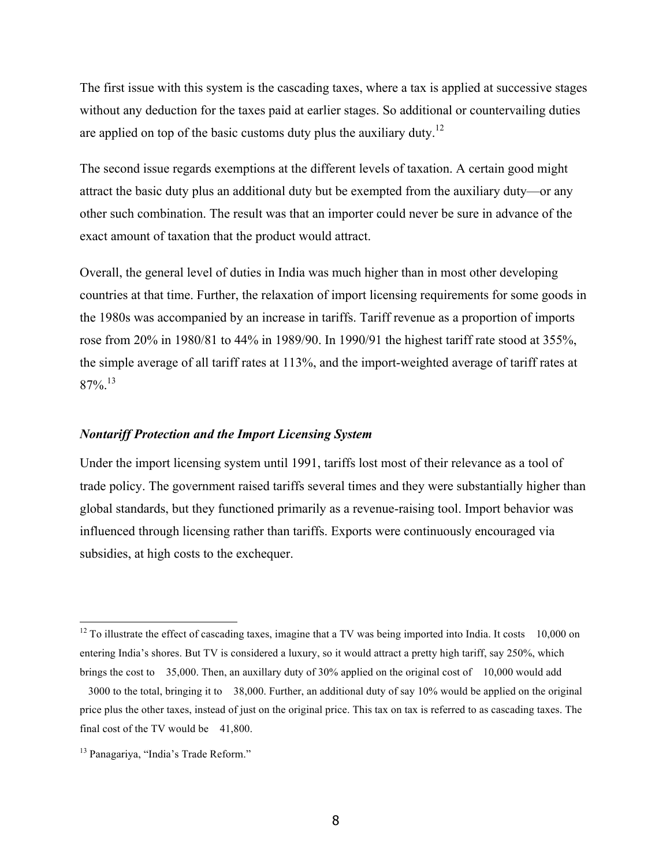The first issue with this system is the cascading taxes, where a tax is applied at successive stages without any deduction for the taxes paid at earlier stages. So additional or countervailing duties are applied on top of the basic customs duty plus the auxiliary duty.<sup>12</sup>

The second issue regards exemptions at the different levels of taxation. A certain good might attract the basic duty plus an additional duty but be exempted from the auxiliary duty—or any other such combination. The result was that an importer could never be sure in advance of the exact amount of taxation that the product would attract.

Overall, the general level of duties in India was much higher than in most other developing countries at that time. Further, the relaxation of import licensing requirements for some goods in the 1980s was accompanied by an increase in tariffs. Tariff revenue as a proportion of imports rose from 20% in 1980/81 to 44% in 1989/90. In 1990/91 the highest tariff rate stood at 355%, the simple average of all tariff rates at 113%, and the import-weighted average of tariff rates at  $87\%$ <sup>13</sup>

## *Nontariff Protection and the Import Licensing System*

Under the import licensing system until 1991, tariffs lost most of their relevance as a tool of trade policy. The government raised tariffs several times and they were substantially higher than global standards, but they functioned primarily as a revenue-raising tool. Import behavior was influenced through licensing rather than tariffs. Exports were continuously encouraged via subsidies, at high costs to the exchequer.

 $12$  To illustrate the effect of cascading taxes, imagine that a TV was being imported into India. It costs 10,000 on entering India's shores. But TV is considered a luxury, so it would attract a pretty high tariff, say 250%, which brings the cost to 35,000. Then, an auxillary duty of 30% applied on the original cost of 10,000 would add

<sup>3000</sup> to the total, bringing it to 38,000. Further, an additional duty of say 10% would be applied on the original price plus the other taxes, instead of just on the original price. This tax on tax is referred to as cascading taxes. The final cost of the TV would be  $41,800$ .

<sup>13</sup> Panagariya, "India's Trade Reform."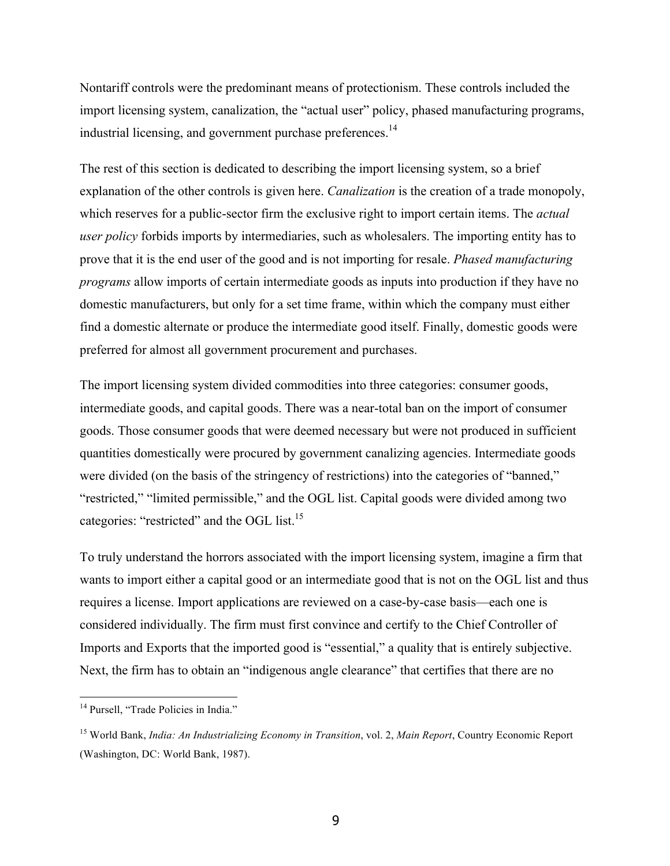Nontariff controls were the predominant means of protectionism. These controls included the import licensing system, canalization, the "actual user" policy, phased manufacturing programs, industrial licensing, and government purchase preferences.<sup>14</sup>

The rest of this section is dedicated to describing the import licensing system, so a brief explanation of the other controls is given here. *Canalization* is the creation of a trade monopoly, which reserves for a public-sector firm the exclusive right to import certain items. The *actual user policy* forbids imports by intermediaries, such as wholesalers. The importing entity has to prove that it is the end user of the good and is not importing for resale. *Phased manufacturing programs* allow imports of certain intermediate goods as inputs into production if they have no domestic manufacturers, but only for a set time frame, within which the company must either find a domestic alternate or produce the intermediate good itself. Finally, domestic goods were preferred for almost all government procurement and purchases.

The import licensing system divided commodities into three categories: consumer goods, intermediate goods, and capital goods. There was a near-total ban on the import of consumer goods. Those consumer goods that were deemed necessary but were not produced in sufficient quantities domestically were procured by government canalizing agencies. Intermediate goods were divided (on the basis of the stringency of restrictions) into the categories of "banned," "restricted," "limited permissible," and the OGL list. Capital goods were divided among two categories: "restricted" and the OGL list.<sup>15</sup>

To truly understand the horrors associated with the import licensing system, imagine a firm that wants to import either a capital good or an intermediate good that is not on the OGL list and thus requires a license. Import applications are reviewed on a case-by-case basis—each one is considered individually. The firm must first convince and certify to the Chief Controller of Imports and Exports that the imported good is "essential," a quality that is entirely subjective. Next, the firm has to obtain an "indigenous angle clearance" that certifies that there are no

<sup>&</sup>lt;sup>14</sup> Pursell, "Trade Policies in India."

<sup>15</sup> World Bank, *India: An Industrializing Economy in Transition*, vol. 2, *Main Report*, Country Economic Report (Washington, DC: World Bank, 1987).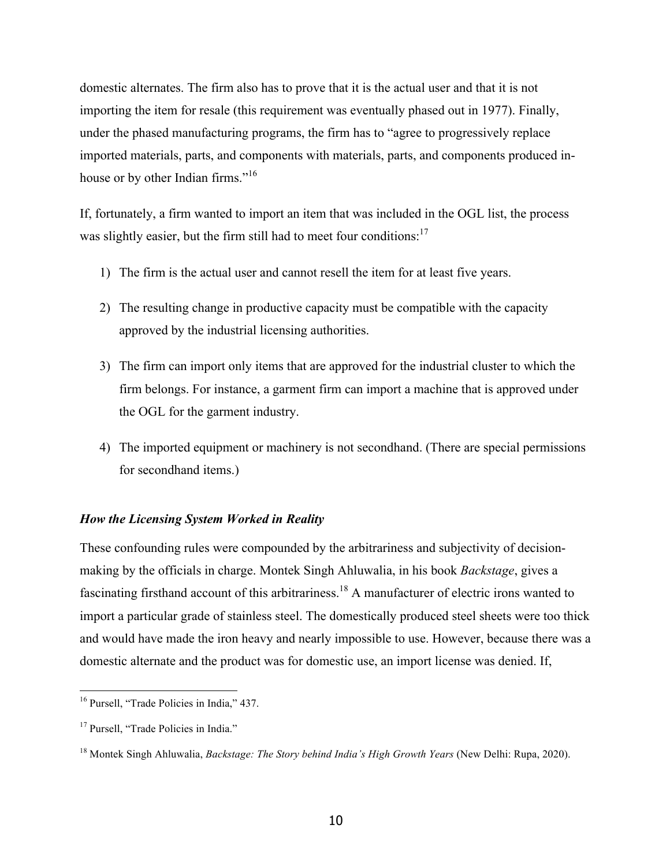domestic alternates. The firm also has to prove that it is the actual user and that it is not importing the item for resale (this requirement was eventually phased out in 1977). Finally, under the phased manufacturing programs, the firm has to "agree to progressively replace imported materials, parts, and components with materials, parts, and components produced inhouse or by other Indian firms."<sup>16</sup>

If, fortunately, a firm wanted to import an item that was included in the OGL list, the process was slightly easier, but the firm still had to meet four conditions:<sup>17</sup>

- 1) The firm is the actual user and cannot resell the item for at least five years.
- 2) The resulting change in productive capacity must be compatible with the capacity approved by the industrial licensing authorities.
- 3) The firm can import only items that are approved for the industrial cluster to which the firm belongs. For instance, a garment firm can import a machine that is approved under the OGL for the garment industry.
- 4) The imported equipment or machinery is not secondhand. (There are special permissions for secondhand items.)

## *How the Licensing System Worked in Reality*

These confounding rules were compounded by the arbitrariness and subjectivity of decisionmaking by the officials in charge. Montek Singh Ahluwalia, in his book *Backstage*, gives a fascinating firsthand account of this arbitrariness.<sup>18</sup> A manufacturer of electric irons wanted to import a particular grade of stainless steel. The domestically produced steel sheets were too thick and would have made the iron heavy and nearly impossible to use. However, because there was a domestic alternate and the product was for domestic use, an import license was denied. If,

<sup>&</sup>lt;sup>16</sup> Pursell, "Trade Policies in India," 437.

<sup>&</sup>lt;sup>17</sup> Pursell, "Trade Policies in India."

<sup>18</sup> Montek Singh Ahluwalia, *Backstage: The Story behind India's High Growth Years* (New Delhi: Rupa, 2020).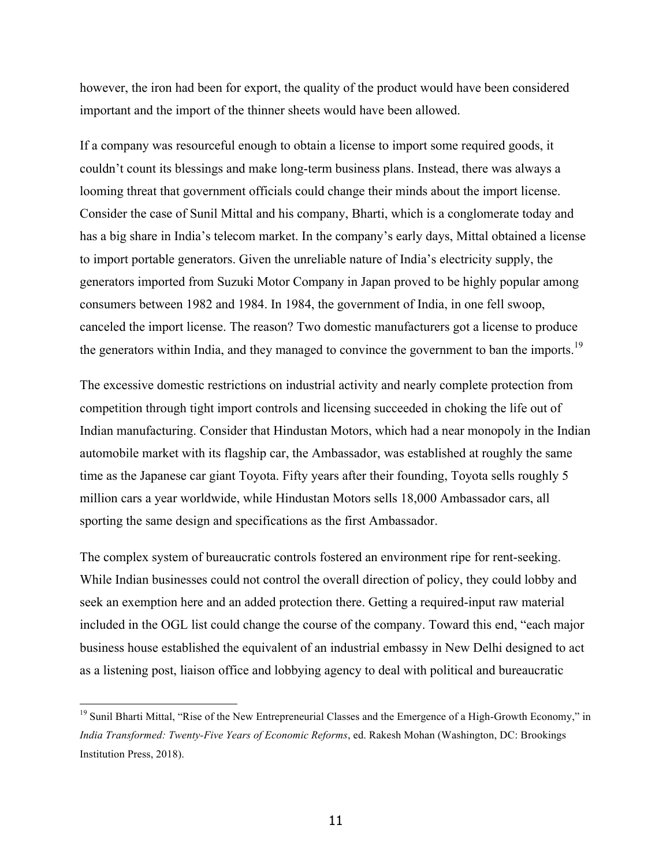however, the iron had been for export, the quality of the product would have been considered important and the import of the thinner sheets would have been allowed.

If a company was resourceful enough to obtain a license to import some required goods, it couldn't count its blessings and make long-term business plans. Instead, there was always a looming threat that government officials could change their minds about the import license. Consider the case of Sunil Mittal and his company, Bharti, which is a conglomerate today and has a big share in India's telecom market. In the company's early days, Mittal obtained a license to import portable generators. Given the unreliable nature of India's electricity supply, the generators imported from Suzuki Motor Company in Japan proved to be highly popular among consumers between 1982 and 1984. In 1984, the government of India, in one fell swoop, canceled the import license. The reason? Two domestic manufacturers got a license to produce the generators within India, and they managed to convince the government to ban the imports.<sup>19</sup>

The excessive domestic restrictions on industrial activity and nearly complete protection from competition through tight import controls and licensing succeeded in choking the life out of Indian manufacturing. Consider that Hindustan Motors, which had a near monopoly in the Indian automobile market with its flagship car, the Ambassador, was established at roughly the same time as the Japanese car giant Toyota. Fifty years after their founding, Toyota sells roughly 5 million cars a year worldwide, while Hindustan Motors sells 18,000 Ambassador cars, all sporting the same design and specifications as the first Ambassador.

The complex system of bureaucratic controls fostered an environment ripe for rent-seeking. While Indian businesses could not control the overall direction of policy, they could lobby and seek an exemption here and an added protection there. Getting a required-input raw material included in the OGL list could change the course of the company. Toward this end, "each major business house established the equivalent of an industrial embassy in New Delhi designed to act as a listening post, liaison office and lobbying agency to deal with political and bureaucratic

<sup>&</sup>lt;sup>19</sup> Sunil Bharti Mittal, "Rise of the New Entrepreneurial Classes and the Emergence of a High-Growth Economy," in *India Transformed: Twenty-Five Years of Economic Reforms*, ed. Rakesh Mohan (Washington, DC: Brookings Institution Press, 2018).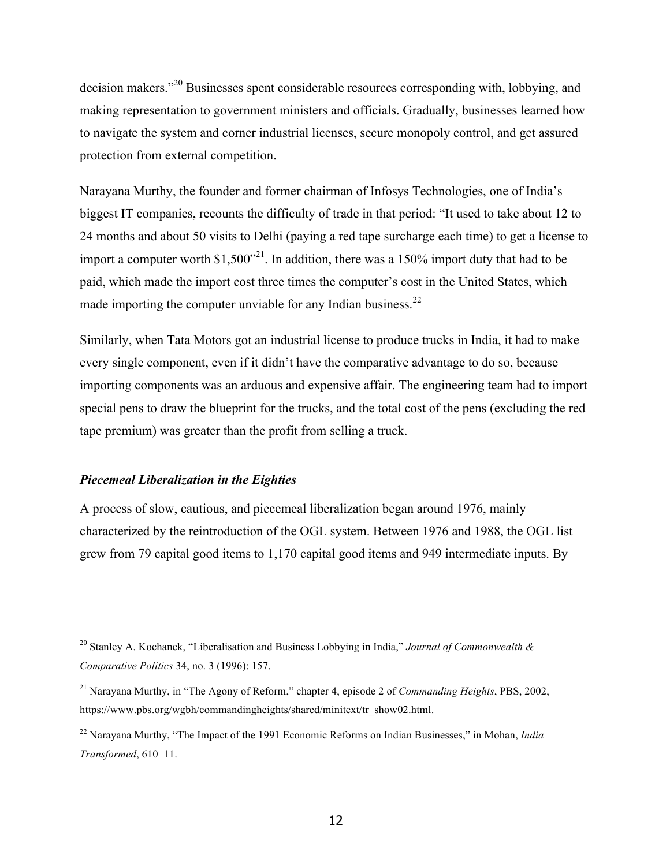decision makers."<sup>20</sup> Businesses spent considerable resources corresponding with, lobbying, and making representation to government ministers and officials. Gradually, businesses learned how to navigate the system and corner industrial licenses, secure monopoly control, and get assured protection from external competition.

Narayana Murthy, the founder and former chairman of Infosys Technologies, one of India's biggest IT companies, recounts the difficulty of trade in that period: "It used to take about 12 to 24 months and about 50 visits to Delhi (paying a red tape surcharge each time) to get a license to import a computer worth  $$1,500<sup>21</sup>$ . In addition, there was a 150% import duty that had to be paid, which made the import cost three times the computer's cost in the United States, which made importing the computer unviable for any Indian business. $^{22}$ 

Similarly, when Tata Motors got an industrial license to produce trucks in India, it had to make every single component, even if it didn't have the comparative advantage to do so, because importing components was an arduous and expensive affair. The engineering team had to import special pens to draw the blueprint for the trucks, and the total cost of the pens (excluding the red tape premium) was greater than the profit from selling a truck.

#### *Piecemeal Liberalization in the Eighties*

A process of slow, cautious, and piecemeal liberalization began around 1976, mainly characterized by the reintroduction of the OGL system. Between 1976 and 1988, the OGL list grew from 79 capital good items to 1,170 capital good items and 949 intermediate inputs. By

 <sup>20</sup> Stanley A. Kochanek, "Liberalisation and Business Lobbying in India," *Journal of Commonwealth & Comparative Politics* 34, no. 3 (1996): 157.

<sup>21</sup> Narayana Murthy, in "The Agony of Reform," chapter 4, episode 2 of *Commanding Heights*, PBS, 2002, https://www.pbs.org/wgbh/commandingheights/shared/minitext/tr\_show02.html.

<sup>22</sup> Narayana Murthy, "The Impact of the 1991 Economic Reforms on Indian Businesses," in Mohan, *India Transformed*, 610–11.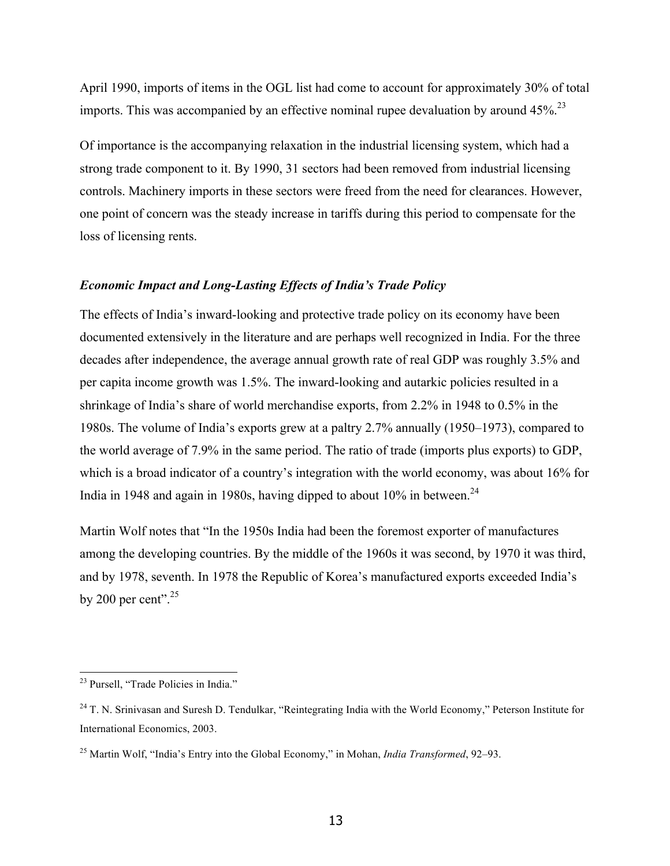April 1990, imports of items in the OGL list had come to account for approximately 30% of total imports. This was accompanied by an effective nominal rupee devaluation by around  $45\%$ <sup>23</sup>

Of importance is the accompanying relaxation in the industrial licensing system, which had a strong trade component to it. By 1990, 31 sectors had been removed from industrial licensing controls. Machinery imports in these sectors were freed from the need for clearances. However, one point of concern was the steady increase in tariffs during this period to compensate for the loss of licensing rents.

## *Economic Impact and Long-Lasting Effects of India's Trade Policy*

The effects of India's inward-looking and protective trade policy on its economy have been documented extensively in the literature and are perhaps well recognized in India. For the three decades after independence, the average annual growth rate of real GDP was roughly 3.5% and per capita income growth was 1.5%. The inward-looking and autarkic policies resulted in a shrinkage of India's share of world merchandise exports, from 2.2% in 1948 to 0.5% in the 1980s. The volume of India's exports grew at a paltry 2.7% annually (1950–1973), compared to the world average of 7.9% in the same period. The ratio of trade (imports plus exports) to GDP, which is a broad indicator of a country's integration with the world economy, was about 16% for India in 1948 and again in 1980s, having dipped to about  $10\%$  in between.<sup>24</sup>

Martin Wolf notes that "In the 1950s India had been the foremost exporter of manufactures among the developing countries. By the middle of the 1960s it was second, by 1970 it was third, and by 1978, seventh. In 1978 the Republic of Korea's manufactured exports exceeded India's by 200 per cent". $25$ 

 <sup>23</sup> Pursell, "Trade Policies in India."

<sup>&</sup>lt;sup>24</sup> T. N. Srinivasan and Suresh D. Tendulkar, "Reintegrating India with the World Economy," Peterson Institute for International Economics, 2003.

<sup>25</sup> Martin Wolf, "India's Entry into the Global Economy," in Mohan, *India Transformed*, 92–93.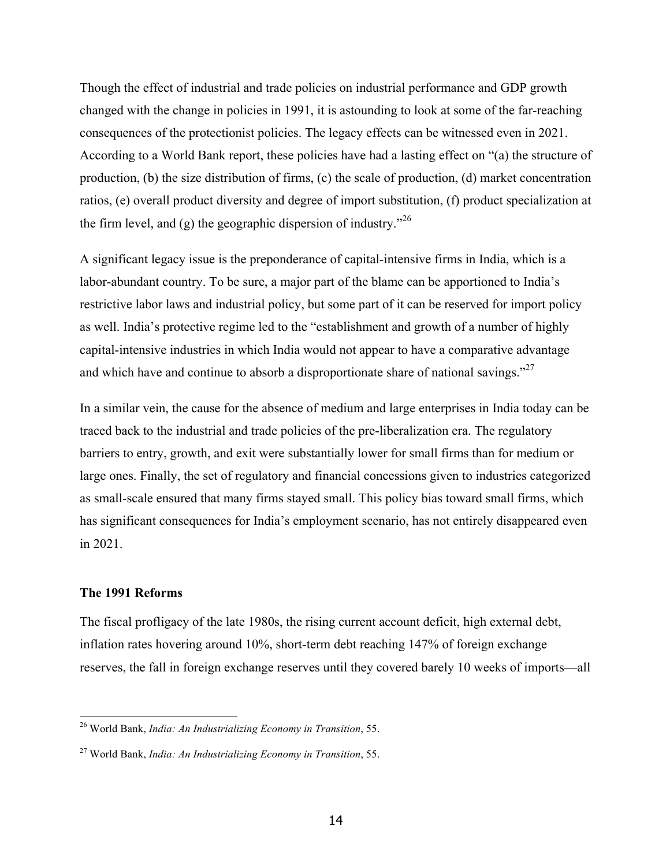Though the effect of industrial and trade policies on industrial performance and GDP growth changed with the change in policies in 1991, it is astounding to look at some of the far-reaching consequences of the protectionist policies. The legacy effects can be witnessed even in 2021. According to a World Bank report, these policies have had a lasting effect on "(a) the structure of production, (b) the size distribution of firms, (c) the scale of production, (d) market concentration ratios, (e) overall product diversity and degree of import substitution, (f) product specialization at the firm level, and (g) the geographic dispersion of industry.<sup> $26$ </sup>

A significant legacy issue is the preponderance of capital-intensive firms in India, which is a labor-abundant country. To be sure, a major part of the blame can be apportioned to India's restrictive labor laws and industrial policy, but some part of it can be reserved for import policy as well. India's protective regime led to the "establishment and growth of a number of highly capital-intensive industries in which India would not appear to have a comparative advantage and which have and continue to absorb a disproportionate share of national savings." $27$ 

In a similar vein, the cause for the absence of medium and large enterprises in India today can be traced back to the industrial and trade policies of the pre-liberalization era. The regulatory barriers to entry, growth, and exit were substantially lower for small firms than for medium or large ones. Finally, the set of regulatory and financial concessions given to industries categorized as small-scale ensured that many firms stayed small. This policy bias toward small firms, which has significant consequences for India's employment scenario, has not entirely disappeared even in 2021.

#### **The 1991 Reforms**

The fiscal profligacy of the late 1980s, the rising current account deficit, high external debt, inflation rates hovering around 10%, short-term debt reaching 147% of foreign exchange reserves, the fall in foreign exchange reserves until they covered barely 10 weeks of imports—all

 <sup>26</sup> World Bank, *India: An Industrializing Economy in Transition*, 55.

<sup>27</sup> World Bank, *India: An Industrializing Economy in Transition*, 55.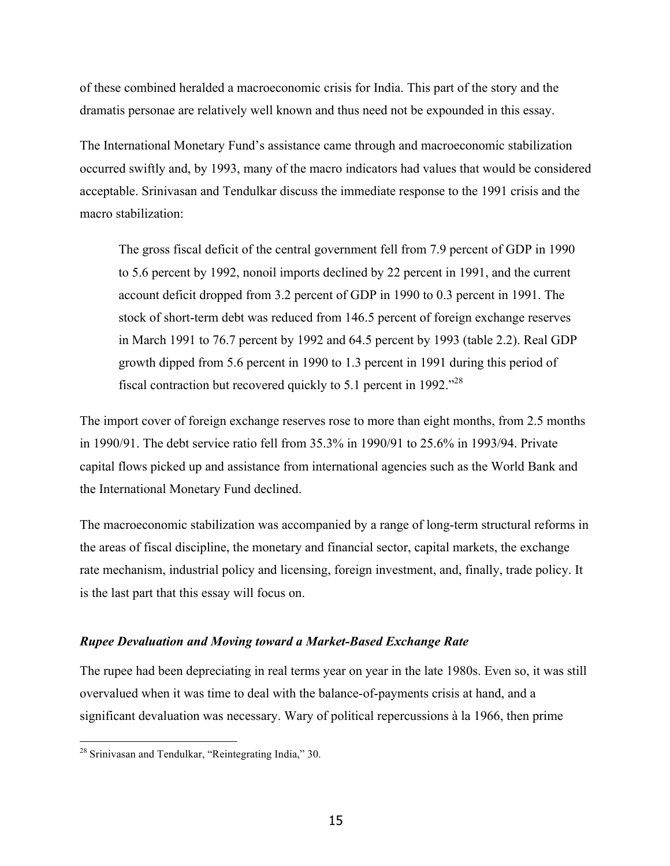of these combined heralded a macroeconomic crisis for India. This part of the story and the dramatis personae are relatively well known and thus need not be expounded in this essay.

The International Monetary Fund's assistance came through and macroeconomic stabilization occurred swiftly and, by 1993, many of the macro indicators had values that would be considered acceptable. Srinivasan and Tendulkar discuss the immediate response to the 1991 crisis and the macro stabilization:

The gross fiscal deficit of the central government fell from 7.9 percent of GDP in 1990 to 5.6 percent by 1992, nonoil imports declined by 22 percent in 1991, and the current account deficit dropped from 3.2 percent of GDP in 1990 to 0.3 percent in 1991. The stock of short-term debt was reduced from 146.5 percent of foreign exchange reserves in March 1991 to 76.7 percent by 1992 and 64.5 percent by 1993 (table 2.2). Real GDP growth dipped from 5.6 percent in 1990 to 1.3 percent in 1991 during this period of fiscal contraction but recovered quickly to 5.1 percent in 1992. $^{328}$ 

The import cover of foreign exchange reserves rose to more than eight months, from 2.5 months in 1990/91. The debt service ratio fell from 35.3% in 1990/91 to 25.6% in 1993/94. Private capital flows picked up and assistance from international agencies such as the World Bank and the International Monetary Fund declined.

The macroeconomic stabilization was accompanied by a range of long-term structural reforms in the areas of fiscal discipline, the monetary and financial sector, capital markets, the exchange rate mechanism, industrial policy and licensing, foreign investment, and, finally, trade policy. It is the last part that this essay will focus on.

## *Rupee Devaluation and Moving toward a Market-Based Exchange Rate*

The rupee had been depreciating in real terms year on year in the late 1980s. Even so, it was still overvalued when it was time to deal with the balance-of-payments crisis at hand, and a significant devaluation was necessary. Wary of political repercussions à la 1966, then prime

 <sup>28</sup> Srinivasan and Tendulkar, "Reintegrating India," 30.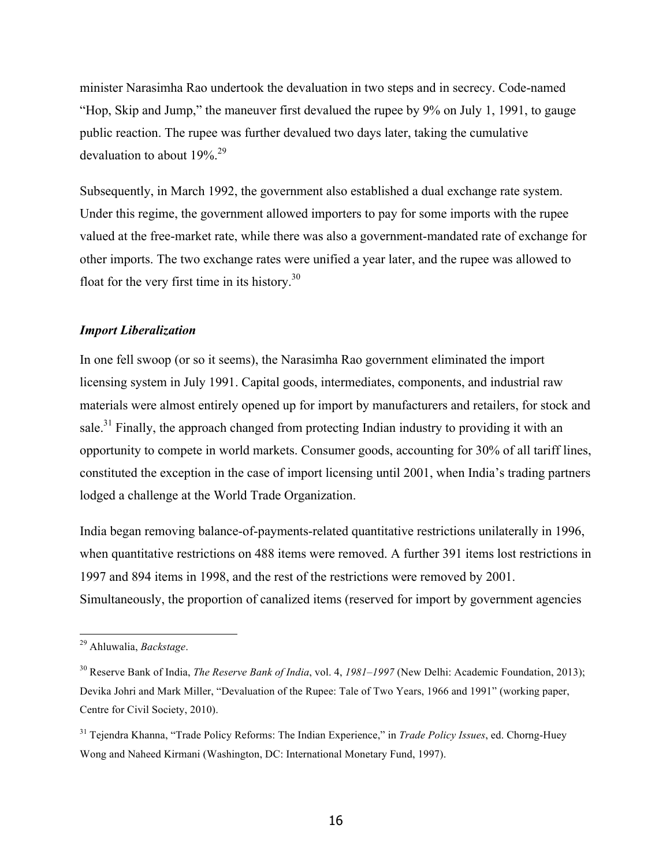minister Narasimha Rao undertook the devaluation in two steps and in secrecy. Code-named "Hop, Skip and Jump," the maneuver first devalued the rupee by 9% on July 1, 1991, to gauge public reaction. The rupee was further devalued two days later, taking the cumulative devaluation to about 19%.<sup>29</sup>

Subsequently, in March 1992, the government also established a dual exchange rate system. Under this regime, the government allowed importers to pay for some imports with the rupee valued at the free-market rate, while there was also a government-mandated rate of exchange for other imports. The two exchange rates were unified a year later, and the rupee was allowed to float for the very first time in its history. $30$ 

## *Import Liberalization*

In one fell swoop (or so it seems), the Narasimha Rao government eliminated the import licensing system in July 1991. Capital goods, intermediates, components, and industrial raw materials were almost entirely opened up for import by manufacturers and retailers, for stock and sale.<sup>31</sup> Finally, the approach changed from protecting Indian industry to providing it with an opportunity to compete in world markets. Consumer goods, accounting for 30% of all tariff lines, constituted the exception in the case of import licensing until 2001, when India's trading partners lodged a challenge at the World Trade Organization.

India began removing balance-of-payments-related quantitative restrictions unilaterally in 1996, when quantitative restrictions on 488 items were removed. A further 391 items lost restrictions in 1997 and 894 items in 1998, and the rest of the restrictions were removed by 2001. Simultaneously, the proportion of canalized items (reserved for import by government agencies

 <sup>29</sup> Ahluwalia, *Backstage*.

<sup>30</sup> Reserve Bank of India, *The Reserve Bank of India*, vol. 4, *1981–1997* (New Delhi: Academic Foundation, 2013); Devika Johri and Mark Miller, "Devaluation of the Rupee: Tale of Two Years, 1966 and 1991" (working paper, Centre for Civil Society, 2010).

<sup>31</sup> Tejendra Khanna, "Trade Policy Reforms: The Indian Experience," in *Trade Policy Issues*, ed. Chorng-Huey Wong and Naheed Kirmani (Washington, DC: International Monetary Fund, 1997).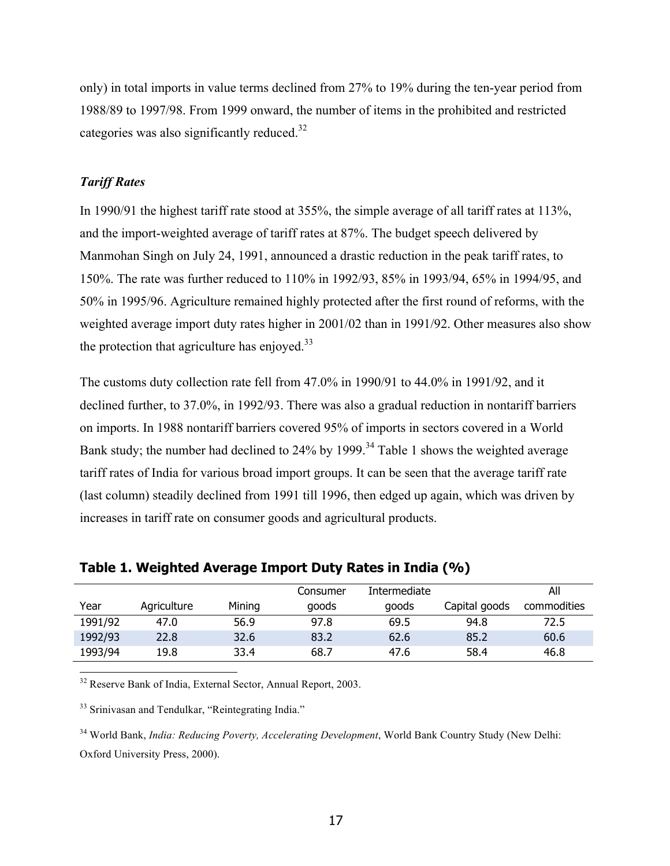only) in total imports in value terms declined from 27% to 19% during the ten-year period from 1988/89 to 1997/98. From 1999 onward, the number of items in the prohibited and restricted categories was also significantly reduced. $32$ 

## *Tariff Rates*

In 1990/91 the highest tariff rate stood at 355%, the simple average of all tariff rates at 113%, and the import-weighted average of tariff rates at 87%. The budget speech delivered by Manmohan Singh on July 24, 1991, announced a drastic reduction in the peak tariff rates, to 150%. The rate was further reduced to 110% in 1992/93, 85% in 1993/94, 65% in 1994/95, and 50% in 1995/96. Agriculture remained highly protected after the first round of reforms, with the weighted average import duty rates higher in 2001/02 than in 1991/92. Other measures also show the protection that agriculture has enjoyed. $33$ 

The customs duty collection rate fell from 47.0% in 1990/91 to 44.0% in 1991/92, and it declined further, to 37.0%, in 1992/93. There was also a gradual reduction in nontariff barriers on imports. In 1988 nontariff barriers covered 95% of imports in sectors covered in a World Bank study; the number had declined to 24% by 1999.<sup>34</sup> Table 1 shows the weighted average tariff rates of India for various broad import groups. It can be seen that the average tariff rate (last column) steadily declined from 1991 till 1996, then edged up again, which was driven by increases in tariff rate on consumer goods and agricultural products.

|         |             |        | Consumer | Intermediate |               | All         |
|---------|-------------|--------|----------|--------------|---------------|-------------|
| Year    | Agriculture | Mining | goods    | goods        | Capital goods | commodities |
| 1991/92 | 47.0        | 56.9   | 97.8     | 69.5         | 94.8          | 72.5        |
| 1992/93 | 22.8        | 32.6   | 83.2     | 62.6         | 85.2          | 60.6        |
| 1993/94 | 19.8        | 33.4   | 68.7     | 47.6         | 58.4          | 46.8        |

**Table 1. Weighted Average Import Duty Rates in India (%)**

<sup>32</sup> Reserve Bank of India, External Sector, Annual Report, 2003.

<sup>33</sup> Srinivasan and Tendulkar, "Reintegrating India."

<sup>34</sup> World Bank, *India: Reducing Poverty, Accelerating Development*, World Bank Country Study (New Delhi: Oxford University Press, 2000).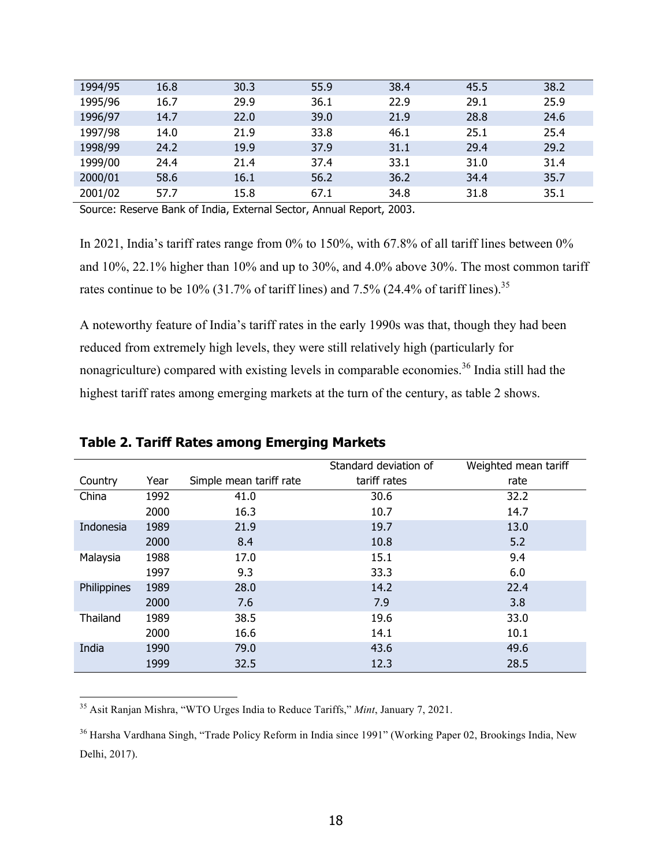| 1994/95 | 16.8 | 30.3 | 55.9 | 38.4 | 45.5 | 38.2 |
|---------|------|------|------|------|------|------|
| 1995/96 | 16.7 | 29.9 | 36.1 | 22.9 | 29.1 | 25.9 |
| 1996/97 | 14.7 | 22.0 | 39.0 | 21.9 | 28.8 | 24.6 |
| 1997/98 | 14.0 | 21.9 | 33.8 | 46.1 | 25.1 | 25.4 |
| 1998/99 | 24.2 | 19.9 | 37.9 | 31.1 | 29.4 | 29.2 |
| 1999/00 | 24.4 | 21.4 | 37.4 | 33.1 | 31.0 | 31.4 |
| 2000/01 | 58.6 | 16.1 | 56.2 | 36.2 | 34.4 | 35.7 |
| 2001/02 | 57.7 | 15.8 | 67.1 | 34.8 | 31.8 | 35.1 |

Source: Reserve Bank of India, External Sector, Annual Report, 2003.

In 2021, India's tariff rates range from 0% to 150%, with 67.8% of all tariff lines between 0% and 10%, 22.1% higher than 10% and up to 30%, and 4.0% above 30%. The most common tariff rates continue to be  $10\%$  (31.7% of tariff lines) and 7.5% (24.4% of tariff lines).<sup>35</sup>

A noteworthy feature of India's tariff rates in the early 1990s was that, though they had been reduced from extremely high levels, they were still relatively high (particularly for nonagriculture) compared with existing levels in comparable economies.<sup>36</sup> India still had the highest tariff rates among emerging markets at the turn of the century, as table 2 shows.

|             |      |                         | Standard deviation of | Weighted mean tariff |
|-------------|------|-------------------------|-----------------------|----------------------|
| Country     | Year | Simple mean tariff rate | tariff rates          | rate                 |
| China       | 1992 | 41.0                    | 30.6                  | 32.2                 |
|             | 2000 | 16.3                    | 10.7                  | 14.7                 |
| Indonesia   | 1989 | 21.9                    | 19.7                  | 13.0                 |
|             | 2000 | 8.4                     | 10.8                  | 5.2                  |
| Malaysia    | 1988 | 17.0                    | 15.1                  | 9.4                  |
|             | 1997 | 9.3                     | 33.3                  | 6.0                  |
| Philippines | 1989 | 28.0                    | 14.2                  | 22.4                 |
|             | 2000 | 7.6                     | 7.9                   | 3.8                  |
| Thailand    | 1989 | 38.5                    | 19.6                  | 33.0                 |
|             | 2000 | 16.6                    | 14.1                  | 10.1                 |
| India       | 1990 | 79.0                    | 43.6                  | 49.6                 |
|             | 1999 | 32.5                    | 12.3                  | 28.5                 |

# **Table 2. Tariff Rates among Emerging Markets**

35 Asit Ranjan Mishra, "WTO Urges India to Reduce Tariffs," *Mint*, January 7, 2021.

<sup>36</sup> Harsha Vardhana Singh, "Trade Policy Reform in India since 1991" (Working Paper 02, Brookings India, New Delhi, 2017).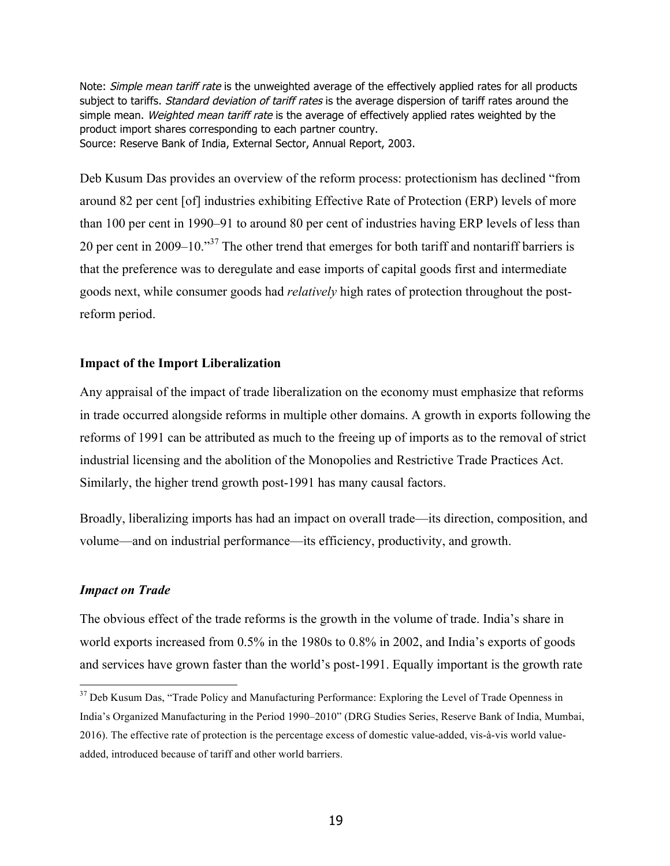Note: Simple mean tariff rate is the unweighted average of the effectively applied rates for all products subject to tariffs. Standard deviation of tariff rates is the average dispersion of tariff rates around the simple mean. Weighted mean tariff rate is the average of effectively applied rates weighted by the product import shares corresponding to each partner country. Source: Reserve Bank of India, External Sector, Annual Report, 2003.

Deb Kusum Das provides an overview of the reform process: protectionism has declined "from around 82 per cent [of] industries exhibiting Effective Rate of Protection (ERP) levels of more than 100 per cent in 1990–91 to around 80 per cent of industries having ERP levels of less than 20 per cent in 2009–10. $\cdot$ <sup>37</sup> The other trend that emerges for both tariff and nontariff barriers is that the preference was to deregulate and ease imports of capital goods first and intermediate goods next, while consumer goods had *relatively* high rates of protection throughout the postreform period.

## **Impact of the Import Liberalization**

Any appraisal of the impact of trade liberalization on the economy must emphasize that reforms in trade occurred alongside reforms in multiple other domains. A growth in exports following the reforms of 1991 can be attributed as much to the freeing up of imports as to the removal of strict industrial licensing and the abolition of the Monopolies and Restrictive Trade Practices Act. Similarly, the higher trend growth post-1991 has many causal factors.

Broadly, liberalizing imports has had an impact on overall trade—its direction, composition, and volume—and on industrial performance—its efficiency, productivity, and growth.

### *Impact on Trade*

The obvious effect of the trade reforms is the growth in the volume of trade. India's share in world exports increased from 0.5% in the 1980s to 0.8% in 2002, and India's exports of goods and services have grown faster than the world's post-1991. Equally important is the growth rate

<sup>&</sup>lt;sup>37</sup> Deb Kusum Das, "Trade Policy and Manufacturing Performance: Exploring the Level of Trade Openness in India's Organized Manufacturing in the Period 1990–2010" (DRG Studies Series, Reserve Bank of India, Mumbai, 2016). The effective rate of protection is the percentage excess of domestic value-added, vis-à-vis world valueadded, introduced because of tariff and other world barriers.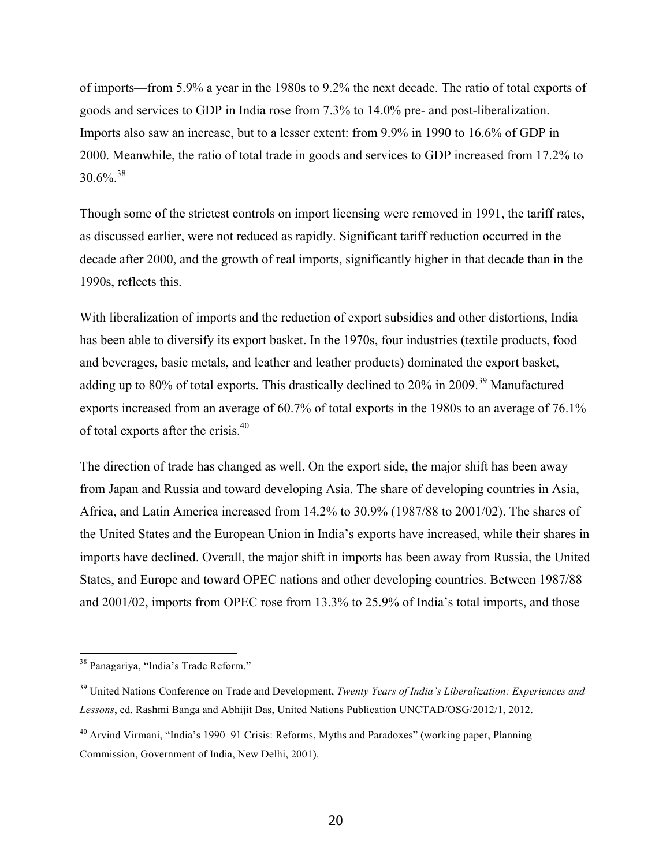of imports—from 5.9% a year in the 1980s to 9.2% the next decade. The ratio of total exports of goods and services to GDP in India rose from 7.3% to 14.0% pre- and post-liberalization. Imports also saw an increase, but to a lesser extent: from 9.9% in 1990 to 16.6% of GDP in 2000. Meanwhile, the ratio of total trade in goods and services to GDP increased from 17.2% to  $30.6\%$ <sup>38</sup>

Though some of the strictest controls on import licensing were removed in 1991, the tariff rates, as discussed earlier, were not reduced as rapidly. Significant tariff reduction occurred in the decade after 2000, and the growth of real imports, significantly higher in that decade than in the 1990s, reflects this.

With liberalization of imports and the reduction of export subsidies and other distortions, India has been able to diversify its export basket. In the 1970s, four industries (textile products, food and beverages, basic metals, and leather and leather products) dominated the export basket, adding up to 80% of total exports. This drastically declined to 20% in 2009.<sup>39</sup> Manufactured exports increased from an average of 60.7% of total exports in the 1980s to an average of 76.1% of total exports after the crisis.<sup>40</sup>

The direction of trade has changed as well. On the export side, the major shift has been away from Japan and Russia and toward developing Asia. The share of developing countries in Asia, Africa, and Latin America increased from 14.2% to 30.9% (1987/88 to 2001/02). The shares of the United States and the European Union in India's exports have increased, while their shares in imports have declined. Overall, the major shift in imports has been away from Russia, the United States, and Europe and toward OPEC nations and other developing countries. Between 1987/88 and 2001/02, imports from OPEC rose from 13.3% to 25.9% of India's total imports, and those

 <sup>38</sup> Panagariya, "India's Trade Reform."

<sup>39</sup> United Nations Conference on Trade and Development, *Twenty Years of India's Liberalization: Experiences and Lessons*, ed. Rashmi Banga and Abhijit Das, United Nations Publication UNCTAD/OSG/2012/1, 2012.

<sup>&</sup>lt;sup>40</sup> Arvind Virmani, "India's 1990–91 Crisis: Reforms, Myths and Paradoxes" (working paper, Planning Commission, Government of India, New Delhi, 2001).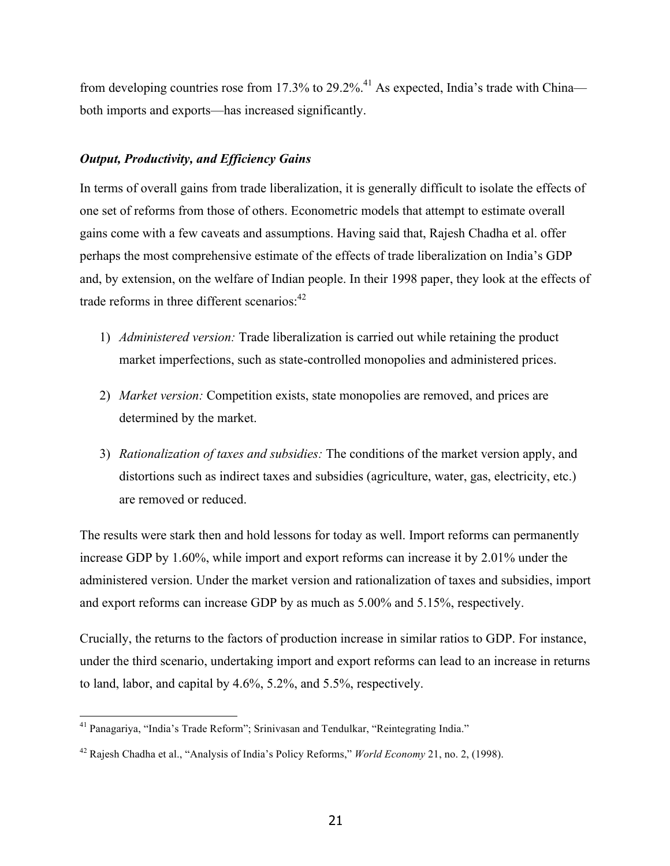from developing countries rose from 17.3% to 29.2%.<sup>41</sup> As expected, India's trade with China both imports and exports—has increased significantly.

## *Output, Productivity, and Efficiency Gains*

In terms of overall gains from trade liberalization, it is generally difficult to isolate the effects of one set of reforms from those of others. Econometric models that attempt to estimate overall gains come with a few caveats and assumptions. Having said that, Rajesh Chadha et al. offer perhaps the most comprehensive estimate of the effects of trade liberalization on India's GDP and, by extension, on the welfare of Indian people. In their 1998 paper, they look at the effects of trade reforms in three different scenarios:<sup>42</sup>

- 1) *Administered version:* Trade liberalization is carried out while retaining the product market imperfections, such as state-controlled monopolies and administered prices.
- 2) *Market version:* Competition exists, state monopolies are removed, and prices are determined by the market.
- 3) *Rationalization of taxes and subsidies:* The conditions of the market version apply, and distortions such as indirect taxes and subsidies (agriculture, water, gas, electricity, etc.) are removed or reduced.

The results were stark then and hold lessons for today as well. Import reforms can permanently increase GDP by 1.60%, while import and export reforms can increase it by 2.01% under the administered version. Under the market version and rationalization of taxes and subsidies, import and export reforms can increase GDP by as much as 5.00% and 5.15%, respectively.

Crucially, the returns to the factors of production increase in similar ratios to GDP. For instance, under the third scenario, undertaking import and export reforms can lead to an increase in returns to land, labor, and capital by 4.6%, 5.2%, and 5.5%, respectively.

 <sup>41</sup> Panagariya, "India's Trade Reform"; Srinivasan and Tendulkar, "Reintegrating India."

<sup>42</sup> Rajesh Chadha et al., "Analysis of India's Policy Reforms," *World Economy* 21, no. 2, (1998).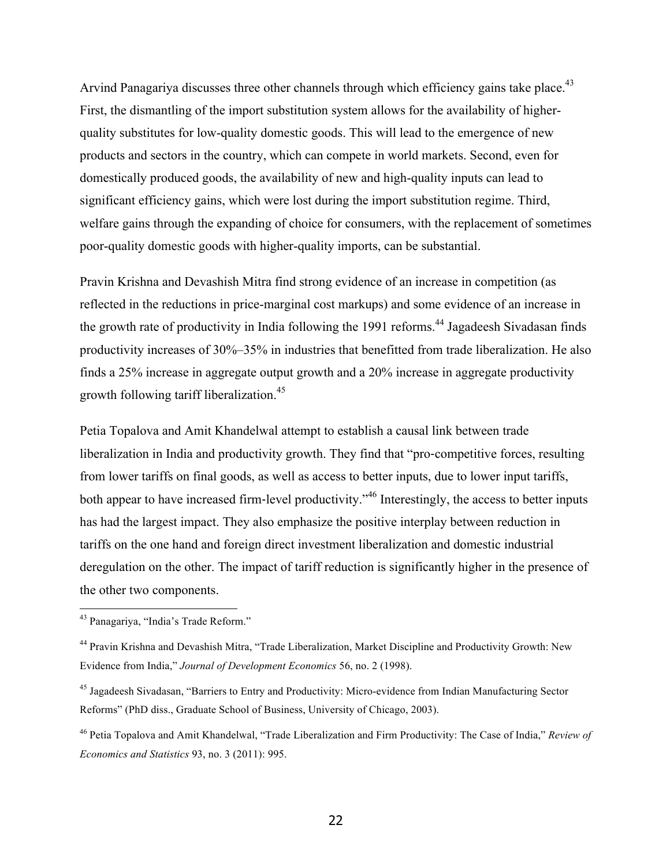Arvind Panagariya discusses three other channels through which efficiency gains take place.<sup>43</sup> First, the dismantling of the import substitution system allows for the availability of higherquality substitutes for low-quality domestic goods. This will lead to the emergence of new products and sectors in the country, which can compete in world markets. Second, even for domestically produced goods, the availability of new and high-quality inputs can lead to significant efficiency gains, which were lost during the import substitution regime. Third, welfare gains through the expanding of choice for consumers, with the replacement of sometimes poor-quality domestic goods with higher-quality imports, can be substantial.

Pravin Krishna and Devashish Mitra find strong evidence of an increase in competition (as reflected in the reductions in price-marginal cost markups) and some evidence of an increase in the growth rate of productivity in India following the 1991 reforms.<sup>44</sup> Jagadeesh Sivadasan finds productivity increases of 30%–35% in industries that benefitted from trade liberalization. He also finds a 25% increase in aggregate output growth and a 20% increase in aggregate productivity growth following tariff liberalization.<sup>45</sup>

Petia Topalova and Amit Khandelwal attempt to establish a causal link between trade liberalization in India and productivity growth. They find that "pro-competitive forces, resulting from lower tariffs on final goods, as well as access to better inputs, due to lower input tariffs, both appear to have increased firm-level productivity."<sup>46</sup> Interestingly, the access to better inputs has had the largest impact. They also emphasize the positive interplay between reduction in tariffs on the one hand and foreign direct investment liberalization and domestic industrial deregulation on the other. The impact of tariff reduction is significantly higher in the presence of the other two components.

 <sup>43</sup> Panagariya, "India's Trade Reform."

<sup>44</sup> Pravin Krishna and Devashish Mitra, "Trade Liberalization, Market Discipline and Productivity Growth: New Evidence from India," *Journal of Development Economics* 56, no. 2 (1998).

<sup>&</sup>lt;sup>45</sup> Jagadeesh Sivadasan, "Barriers to Entry and Productivity: Micro-evidence from Indian Manufacturing Sector Reforms" (PhD diss., Graduate School of Business, University of Chicago, 2003).

<sup>46</sup> Petia Topalova and Amit Khandelwal, "Trade Liberalization and Firm Productivity: The Case of India," *Review of Economics and Statistics* 93, no. 3 (2011): 995.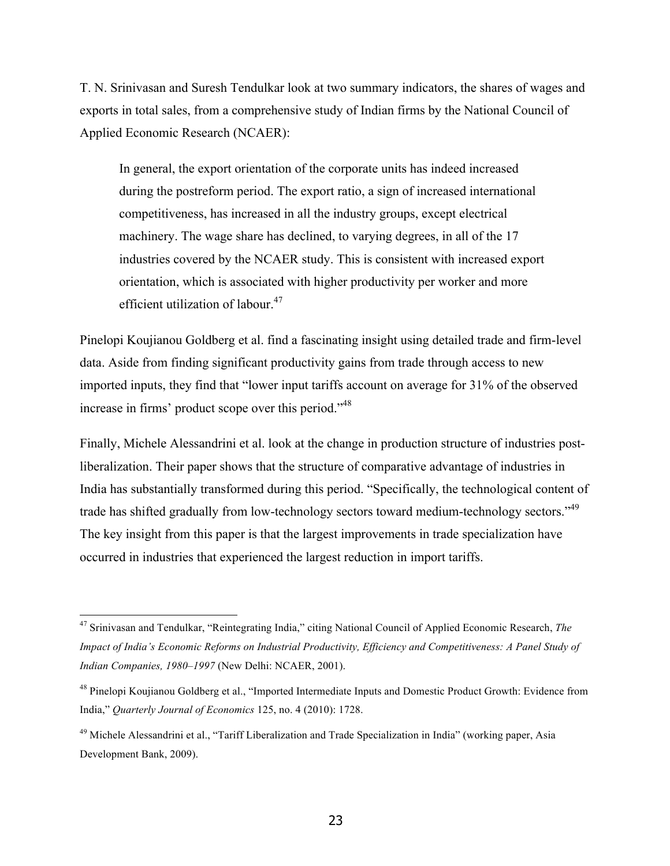T. N. Srinivasan and Suresh Tendulkar look at two summary indicators, the shares of wages and exports in total sales, from a comprehensive study of Indian firms by the National Council of Applied Economic Research (NCAER):

In general, the export orientation of the corporate units has indeed increased during the postreform period. The export ratio, a sign of increased international competitiveness, has increased in all the industry groups, except electrical machinery. The wage share has declined, to varying degrees, in all of the 17 industries covered by the NCAER study. This is consistent with increased export orientation, which is associated with higher productivity per worker and more efficient utilization of labour.<sup>47</sup>

Pinelopi Koujianou Goldberg et al. find a fascinating insight using detailed trade and firm-level data. Aside from finding significant productivity gains from trade through access to new imported inputs, they find that "lower input tariffs account on average for 31% of the observed increase in firms' product scope over this period."<sup>48</sup>

Finally, Michele Alessandrini et al. look at the change in production structure of industries postliberalization. Their paper shows that the structure of comparative advantage of industries in India has substantially transformed during this period. "Specifically, the technological content of trade has shifted gradually from low-technology sectors toward medium-technology sectors."<sup>49</sup> The key insight from this paper is that the largest improvements in trade specialization have occurred in industries that experienced the largest reduction in import tariffs.

 <sup>47</sup> Srinivasan and Tendulkar, "Reintegrating India," citing National Council of Applied Economic Research, *The Impact of India's Economic Reforms on Industrial Productivity, Efficiency and Competitiveness: A Panel Study of Indian Companies, 1980–1997* (New Delhi: NCAER, 2001).

<sup>&</sup>lt;sup>48</sup> Pinelopi Koujianou Goldberg et al., "Imported Intermediate Inputs and Domestic Product Growth: Evidence from India," *Quarterly Journal of Economics* 125, no. 4 (2010): 1728.

<sup>&</sup>lt;sup>49</sup> Michele Alessandrini et al., "Tariff Liberalization and Trade Specialization in India" (working paper, Asia Development Bank, 2009).